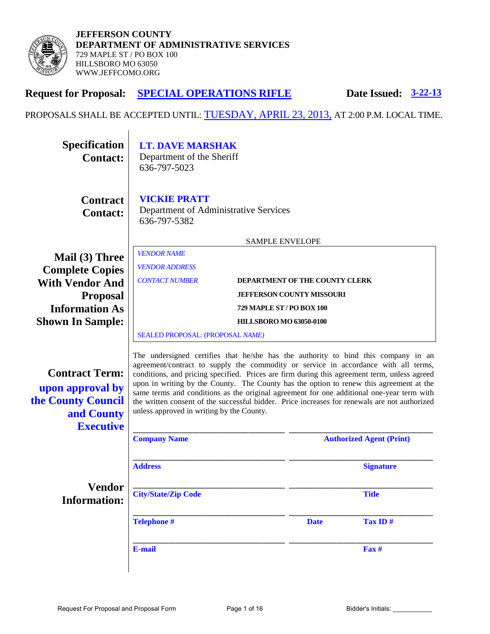

| <b>Request for Proposal:</b>                                                                      | <b>SPECIAL OPERATIONS RIFLE</b><br><b>Date Issued: 3-22-13</b>                                                                                                                                                                                                                                                                                                                                                                                                                                                                                                                                                  |                                 |  |
|---------------------------------------------------------------------------------------------------|-----------------------------------------------------------------------------------------------------------------------------------------------------------------------------------------------------------------------------------------------------------------------------------------------------------------------------------------------------------------------------------------------------------------------------------------------------------------------------------------------------------------------------------------------------------------------------------------------------------------|---------------------------------|--|
|                                                                                                   | PROPOSALS SHALL BE ACCEPTED UNTIL: TUESDAY, APRIL 23, 2013, AT 2:00 P.M. LOCAL TIME.                                                                                                                                                                                                                                                                                                                                                                                                                                                                                                                            |                                 |  |
| <b>Specification</b><br><b>Contact:</b>                                                           | <b>LT. DAVE MARSHAK</b><br>Department of the Sheriff<br>636-797-5023                                                                                                                                                                                                                                                                                                                                                                                                                                                                                                                                            |                                 |  |
| <b>Contract</b><br><b>Contact:</b>                                                                | <b>VICKIE PRATT</b><br>Department of Administrative Services<br>636-797-5382                                                                                                                                                                                                                                                                                                                                                                                                                                                                                                                                    |                                 |  |
|                                                                                                   | <b>SAMPLE ENVELOPE</b>                                                                                                                                                                                                                                                                                                                                                                                                                                                                                                                                                                                          |                                 |  |
| Mail (3) Three                                                                                    | <b>VENDOR NAME</b>                                                                                                                                                                                                                                                                                                                                                                                                                                                                                                                                                                                              |                                 |  |
| <b>Complete Copies</b>                                                                            | <b>VENDOR ADDRESS</b>                                                                                                                                                                                                                                                                                                                                                                                                                                                                                                                                                                                           |                                 |  |
| <b>With Vendor And</b>                                                                            | <b>CONTACT NUMBER</b><br><b>DEPARTMENT OF THE COUNTY CLERK</b>                                                                                                                                                                                                                                                                                                                                                                                                                                                                                                                                                  |                                 |  |
| <b>Proposal</b>                                                                                   | <b>JEFFERSON COUNTY MISSOURI</b>                                                                                                                                                                                                                                                                                                                                                                                                                                                                                                                                                                                |                                 |  |
| <b>Information As</b>                                                                             | 729 MAPLE ST / PO BOX 100                                                                                                                                                                                                                                                                                                                                                                                                                                                                                                                                                                                       |                                 |  |
| <b>Shown In Sample:</b>                                                                           | <b>HILLSBORO MO 63050-0100</b>                                                                                                                                                                                                                                                                                                                                                                                                                                                                                                                                                                                  |                                 |  |
|                                                                                                   | SEALED PROPOSAL: (PROPOSAL NAME)                                                                                                                                                                                                                                                                                                                                                                                                                                                                                                                                                                                |                                 |  |
| <b>Contract Term:</b><br>upon approval by<br>the County Council<br>and County<br><b>Executive</b> | The undersigned certifies that he/she has the authority to bind this company in an<br>agreement/contract to supply the commodity or service in accordance with all terms,<br>conditions, and pricing specified. Prices are firm during this agreement term, unless agreed<br>upon in writing by the County. The County has the option to renew this agreement at the<br>same terms and conditions as the original agreement for one additional one-year term with<br>the written consent of the successful bidder. Price increases for renewals are not authorized<br>unless approved in writing by the County. |                                 |  |
|                                                                                                   | <b>Company Name</b>                                                                                                                                                                                                                                                                                                                                                                                                                                                                                                                                                                                             | <b>Authorized Agent (Print)</b> |  |
|                                                                                                   | <b>Address</b>                                                                                                                                                                                                                                                                                                                                                                                                                                                                                                                                                                                                  | <b>Signature</b>                |  |
| <b>Vendor</b><br><b>Information:</b>                                                              | <b>City/State/Zip Code</b>                                                                                                                                                                                                                                                                                                                                                                                                                                                                                                                                                                                      | <b>Title</b>                    |  |

**Telephone #** Date Tax ID #

Request For Proposal and Proposal Form Page 1 of 16 Bidder's Initials: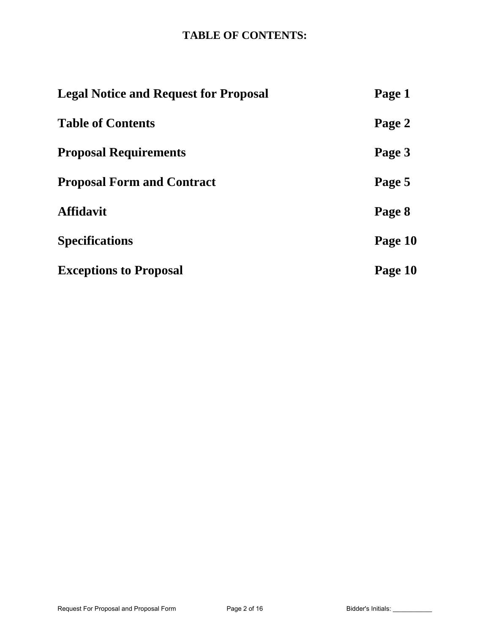# **TABLE OF CONTENTS:**

| <b>Legal Notice and Request for Proposal</b> | Page 1  |
|----------------------------------------------|---------|
| <b>Table of Contents</b>                     | Page 2  |
| <b>Proposal Requirements</b>                 | Page 3  |
| <b>Proposal Form and Contract</b>            | Page 5  |
| <b>Affidavit</b>                             | Page 8  |
| <b>Specifications</b>                        | Page 10 |
| <b>Exceptions to Proposal</b>                | Page 10 |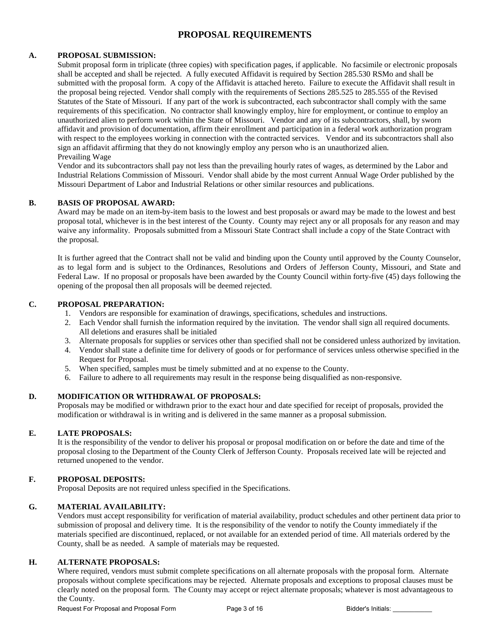## **PROPOSAL REQUIREMENTS**

### **A. PROPOSAL SUBMISSION:**

Submit proposal form in triplicate (three copies) with specification pages, if applicable. No facsimile or electronic proposals shall be accepted and shall be rejected. A fully executed Affidavit is required by Section 285.530 RSMo and shall be submitted with the proposal form. A copy of the Affidavit is attached hereto. Failure to execute the Affidavit shall result in the proposal being rejected. Vendor shall comply with the requirements of Sections 285.525 to 285.555 of the Revised Statutes of the State of Missouri. If any part of the work is subcontracted, each subcontractor shall comply with the same requirements of this specification. No contractor shall knowingly employ, hire for employment, or continue to employ an unauthorized alien to perform work within the State of Missouri. Vendor and any of its subcontractors, shall, by sworn affidavit and provision of documentation, affirm their enrollment and participation in a federal work authorization program with respect to the employees working in connection with the contracted services. Vendor and its subcontractors shall also sign an affidavit affirming that they do not knowingly employ any person who is an unauthorized alien. Prevailing Wage

Vendor and its subcontractors shall pay not less than the prevailing hourly rates of wages, as determined by the Labor and Industrial Relations Commission of Missouri. Vendor shall abide by the most current Annual Wage Order published by the Missouri Department of Labor and Industrial Relations or other similar resources and publications.

#### **B. BASIS OF PROPOSAL AWARD:**

Award may be made on an item-by-item basis to the lowest and best proposals or award may be made to the lowest and best proposal total, whichever is in the best interest of the County. County may reject any or all proposals for any reason and may waive any informality. Proposals submitted from a Missouri State Contract shall include a copy of the State Contract with the proposal.

It is further agreed that the Contract shall not be valid and binding upon the County until approved by the County Counselor, as to legal form and is subject to the Ordinances, Resolutions and Orders of Jefferson County, Missouri, and State and Federal Law. If no proposal or proposals have been awarded by the County Council within forty-five (45) days following the opening of the proposal then all proposals will be deemed rejected.

#### **C. PROPOSAL PREPARATION:**

- 1. Vendors are responsible for examination of drawings, specifications, schedules and instructions.
- 2. Each Vendor shall furnish the information required by the invitation. The vendor shall sign all required documents. All deletions and erasures shall be initialed
- 3. Alternate proposals for supplies or services other than specified shall not be considered unless authorized by invitation.
- 4. Vendor shall state a definite time for delivery of goods or for performance of services unless otherwise specified in the Request for Proposal.
- 5. When specified, samples must be timely submitted and at no expense to the County.
- 6. Failure to adhere to all requirements may result in the response being disqualified as non-responsive.

### **D. MODIFICATION OR WITHDRAWAL OF PROPOSALS:**

Proposals may be modified or withdrawn prior to the exact hour and date specified for receipt of proposals, provided the modification or withdrawal is in writing and is delivered in the same manner as a proposal submission.

#### **E. LATE PROPOSALS:**

It is the responsibility of the vendor to deliver his proposal or proposal modification on or before the date and time of the proposal closing to the Department of the County Clerk of Jefferson County. Proposals received late will be rejected and returned unopened to the vendor.

#### **F. PROPOSAL DEPOSITS:**

Proposal Deposits are not required unless specified in the Specifications.

#### **G. MATERIAL AVAILABILITY:**

Vendors must accept responsibility for verification of material availability, product schedules and other pertinent data prior to submission of proposal and delivery time. It is the responsibility of the vendor to notify the County immediately if the materials specified are discontinued, replaced, or not available for an extended period of time. All materials ordered by the County, shall be as needed. A sample of materials may be requested.

#### **H. ALTERNATE PROPOSALS:**

Where required, vendors must submit complete specifications on all alternate proposals with the proposal form. Alternate proposals without complete specifications may be rejected. Alternate proposals and exceptions to proposal clauses must be clearly noted on the proposal form. The County may accept or reject alternate proposals; whatever is most advantageous to the County.

Request For Proposal and Proposal Form Page 3 of 16 Bidder's Initials: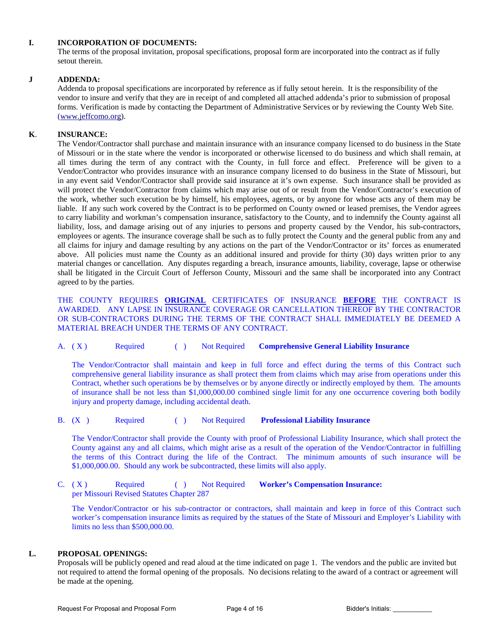#### **I. INCORPORATION OF DOCUMENTS:**

The terms of the proposal invitation, proposal specifications, proposal form are incorporated into the contract as if fully setout therein.

### **J ADDENDA:**

Addenda to proposal specifications are incorporated by reference as if fully setout herein. It is the responsibility of the vendor to insure and verify that they are in receipt of and completed all attached addenda's prior to submission of proposal forms. Verification is made by contacting the Department of Administrative Services or by reviewing the County Web Site. [\(www.jeffcomo.org\)](http://www.jeffcomo.org/).

### **K**. **INSURANCE:**

 The Vendor/Contractor shall purchase and maintain insurance with an insurance company licensed to do business in the State of Missouri or in the state where the vendor is incorporated or otherwise licensed to do business and which shall remain, at all times during the term of any contract with the County, in full force and effect. Preference will be given to a Vendor/Contractor who provides insurance with an insurance company licensed to do business in the State of Missouri, but in any event said Vendor/Contractor shall provide said insurance at it's own expense. Such insurance shall be provided as will protect the Vendor/Contractor from claims which may arise out of or result from the Vendor/Contractor's execution of the work, whether such execution be by himself, his employees, agents, or by anyone for whose acts any of them may be liable. If any such work covered by the Contract is to be performed on County owned or leased premises, the Vendor agrees to carry liability and workman's compensation insurance, satisfactory to the County, and to indemnify the County against all liability, loss, and damage arising out of any injuries to persons and property caused by the Vendor, his sub-contractors, employees or agents. The insurance coverage shall be such as to fully protect the County and the general public from any and all claims for injury and damage resulting by any actions on the part of the Vendor/Contractor or its' forces as enumerated above. All policies must name the County as an additional insured and provide for thirty (30) days written prior to any material changes or cancellation. Any disputes regarding a breach, insurance amounts, liability, coverage, lapse or otherwise shall be litigated in the Circuit Court of Jefferson County, Missouri and the same shall be incorporated into any Contract agreed to by the parties.

 THE COUNTY REQUIRES **ORIGINAL** CERTIFICATES OF INSURANCE **BEFORE** THE CONTRACT IS AWARDED. ANY LAPSE IN INSURANCE COVERAGE OR CANCELLATION THEREOF BY THE CONTRACTOR OR SUB-CONTRACTORS DURING THE TERMS OF THE CONTRACT SHALL IMMEDIATELY BE DEEMED A MATERIAL BREACH UNDER THE TERMS OF ANY CONTRACT.

A. ( X ) Required ( ) Not Required **Comprehensive General Liability Insurance**

The Vendor/Contractor shall maintain and keep in full force and effect during the terms of this Contract such comprehensive general liability insurance as shall protect them from claims which may arise from operations under this Contract, whether such operations be by themselves or by anyone directly or indirectly employed by them. The amounts of insurance shall be not less than \$1,000,000.00 combined single limit for any one occurrence covering both bodily injury and property damage, including accidental death.

B. (X ) Required ( ) Not Required **Professional Liability Insurance**

The Vendor/Contractor shall provide the County with proof of Professional Liability Insurance, which shall protect the County against any and all claims, which might arise as a result of the operation of the Vendor/Contractor in fulfilling the terms of this Contract during the life of the Contract. The minimum amounts of such insurance will be \$1,000,000.00. Should any work be subcontracted, these limits will also apply.

C. (X) Required ( ) Not Required **Worker's Compensation Insurance:** per Missouri Revised Statutes Chapter 287

The Vendor/Contractor or his sub-contractor or contractors, shall maintain and keep in force of this Contract such worker's compensation insurance limits as required by the statues of the State of Missouri and Employer's Liability with limits no less than \$500,000.00.

#### **L. PROPOSAL OPENINGS:**

Proposals will be publicly opened and read aloud at the time indicated on page 1. The vendors and the public are invited but not required to attend the formal opening of the proposals. No decisions relating to the award of a contract or agreement will be made at the opening.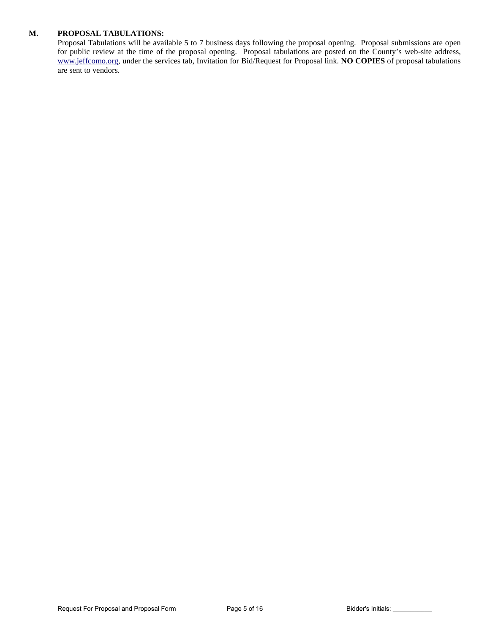#### **M. PROPOSAL TABULATIONS:**

Proposal Tabulations will be available 5 to 7 business days following the proposal opening. Proposal submissions are open for public review at the time of the proposal opening. Proposal tabulations are posted on the County's web-site address, [www.jeffcomo.org,](http://www.jeffcomo.org/) under the services tab, Invitation for Bid/Request for Proposal link. **NO COPIES** of proposal tabulations are sent to vendors.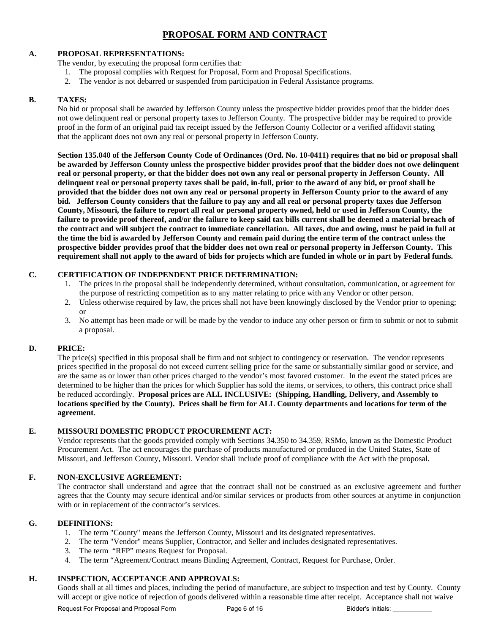# **PROPOSAL FORM AND CONTRACT**

#### **A. PROPOSAL REPRESENTATIONS:**

The vendor, by executing the proposal form certifies that:

- 1. The proposal complies with Request for Proposal, Form and Proposal Specifications.
- 2. The vendor is not debarred or suspended from participation in Federal Assistance programs.

#### **B. TAXES:**

No bid or proposal shall be awarded by Jefferson County unless the prospective bidder provides proof that the bidder does not owe delinquent real or personal property taxes to Jefferson County. The prospective bidder may be required to provide proof in the form of an original paid tax receipt issued by the Jefferson County Collector or a verified affidavit stating that the applicant does not own any real or personal property in Jefferson County.

**Section 135.040 of the Jefferson County Code of Ordinances (Ord. No. 10-0411) requires that no bid or proposal shall be awarded by Jefferson County unless the prospective bidder provides proof that the bidder does not owe delinquent real or personal property, or that the bidder does not own any real or personal property in Jefferson County. All delinquent real or personal property taxes shall be paid, in-full, prior to the award of any bid, or proof shall be provided that the bidder does not own any real or personal property in Jefferson County prior to the award of any bid. Jefferson County considers that the failure to pay any and all real or personal property taxes due Jefferson County, Missouri, the failure to report all real or personal property owned, held or used in Jefferson County, the failure to provide proof thereof, and/or the failure to keep said tax bills current shall be deemed a material breach of the contract and will subject the contract to immediate cancellation. All taxes, due and owing, must be paid in full at the time the bid is awarded by Jefferson County and remain paid during the entire term of the contract unless the prospective bidder provides proof that the bidder does not own real or personal property in Jefferson County. This requirement shall not apply to the award of bids for projects which are funded in whole or in part by Federal funds.**

### **C. CERTIFICATION OF INDEPENDENT PRICE DETERMINATION:**

- 1. The prices in the proposal shall be independently determined, without consultation, communication, or agreement for the purpose of restricting competition as to any matter relating to price with any Vendor or other person.
- 2. Unless otherwise required by law, the prices shall not have been knowingly disclosed by the Vendor prior to opening; or
- 3. No attempt has been made or will be made by the vendor to induce any other person or firm to submit or not to submit a proposal.

### **D. PRICE:**

The price(s) specified in this proposal shall be firm and not subject to contingency or reservation. The vendor represents prices specified in the proposal do not exceed current selling price for the same or substantially similar good or service, and are the same as or lower than other prices charged to the vendor's most favored customer. In the event the stated prices are determined to be higher than the prices for which Supplier has sold the items, or services, to others, this contract price shall be reduced accordingly. **Proposal prices are ALL INCLUSIVE: (Shipping, Handling, Delivery, and Assembly to locations specified by the County). Prices shall be firm for ALL County departments and locations for term of the agreement**.

### **E. MISSOURI DOMESTIC PRODUCT PROCUREMENT ACT:**

Vendor represents that the goods provided comply with Sections 34.350 to 34.359, RSMo, known as the Domestic Product Procurement Act. The act encourages the purchase of products manufactured or produced in the United States, State of Missouri, and Jefferson County, Missouri. Vendor shall include proof of compliance with the Act with the proposal.

### **F. NON-EXCLUSIVE AGREEMENT:**

The contractor shall understand and agree that the contract shall not be construed as an exclusive agreement and further agrees that the County may secure identical and/or similar services or products from other sources at anytime in conjunction with or in replacement of the contractor's services.

#### **G. DEFINITIONS:**

- 1. The term "County" means the Jefferson County, Missouri and its designated representatives.
- 2. The term "Vendor" means Supplier, Contractor, and Seller and includes designated representatives.
- 3. The term "RFP" means Request for Proposal.
- 4. The term "Agreement/Contract means Binding Agreement, Contract, Request for Purchase, Order.

### **H. INSPECTION, ACCEPTANCE AND APPROVALS:**

Goods shall at all times and places, including the period of manufacture, are subject to inspection and test by County. County will accept or give notice of rejection of goods delivered within a reasonable time after receipt. Acceptance shall not waive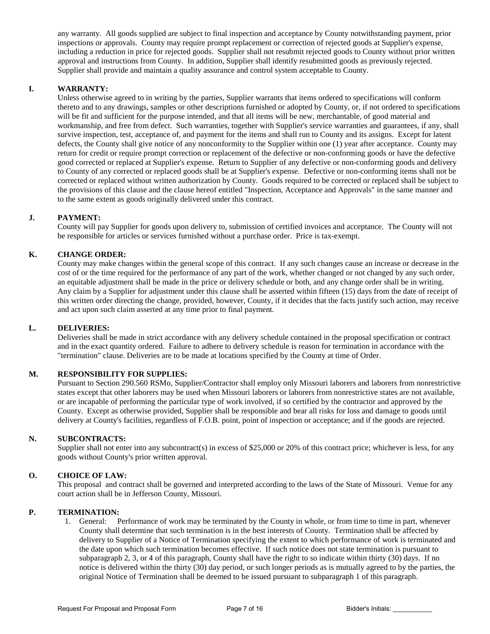any warranty. All goods supplied are subject to final inspection and acceptance by County notwithstanding payment, prior inspections or approvals. County may require prompt replacement or correction of rejected goods at Supplier's expense, including a reduction in price for rejected goods. Supplier shall not resubmit rejected goods to County without prior written approval and instructions from County. In addition, Supplier shall identify resubmitted goods as previously rejected. Supplier shall provide and maintain a quality assurance and control system acceptable to County.

#### **I. WARRANTY:**

Unless otherwise agreed to in writing by the parties, Supplier warrants that items ordered to specifications will conform thereto and to any drawings, samples or other descriptions furnished or adopted by County, or, if not ordered to specifications will be fit and sufficient for the purpose intended, and that all items will be new, merchantable, of good material and workmanship, and free from defect. Such warranties, together with Supplier's service warranties and guarantees, if any, shall survive inspection, test, acceptance of, and payment for the items and shall run to County and its assigns. Except for latent defects, the County shall give notice of any nonconformity to the Supplier within one (1) year after acceptance. County may return for credit or require prompt correction or replacement of the defective or non-conforming goods or have the defective good corrected or replaced at Supplier's expense. Return to Supplier of any defective or non-conforming goods and delivery to County of any corrected or replaced goods shall be at Supplier's expense. Defective or non-conforming items shall not be corrected or replaced without written authorization by County. Goods required to be corrected or replaced shall be subject to the provisions of this clause and the clause hereof entitled "Inspection, Acceptance and Approvals" in the same manner and to the same extent as goods originally delivered under this contract.

### **J. PAYMENT:**

County will pay Supplier for goods upon delivery to, submission of certified invoices and acceptance. The County will not be responsible for articles or services furnished without a purchase order. Price is tax-exempt.

#### **K. CHANGE ORDER:**

County may make changes within the general scope of this contract. If any such changes cause an increase or decrease in the cost of or the time required for the performance of any part of the work, whether changed or not changed by any such order, an equitable adjustment shall be made in the price or delivery schedule or both, and any change order shall be in writing. Any claim by a Supplier for adjustment under this clause shall be asserted within fifteen (15) days from the date of receipt of this written order directing the change, provided, however, County, if it decides that the facts justify such action, may receive and act upon such claim asserted at any time prior to final payment.

#### **L. DELIVERIES:**

Deliveries shall be made in strict accordance with any delivery schedule contained in the proposal specification or contract and in the exact quantity ordered. Failure to adhere to delivery schedule is reason for termination in accordance with the "termination" clause. Deliveries are to be made at locations specified by the County at time of Order.

#### **M. RESPONSIBILITY FOR SUPPLIES:**

Pursuant to Section 290.560 RSMo, Supplier/Contractor shall employ only Missouri laborers and laborers from nonrestrictive states except that other laborers may be used when Missouri laborers or laborers from nonrestrictive states are not available, or are incapable of performing the particular type of work involved, if so certified by the contractor and approved by the County. Except as otherwise provided, Supplier shall be responsible and bear all risks for loss and damage to goods until delivery at County's facilities, regardless of F.O.B. point, point of inspection or acceptance; and if the goods are rejected.

#### **N. SUBCONTRACTS:**

Supplier shall not enter into any subcontract(s) in excess of \$25,000 or 20% of this contract price; whichever is less, for any goods without County's prior written approval.

#### **O. CHOICE OF LAW:**

This proposal and contract shall be governed and interpreted according to the laws of the State of Missouri. Venue for any court action shall be in Jefferson County, Missouri.

#### **P. TERMINATION:**

1. General: Performance of work may be terminated by the County in whole, or from time to time in part, whenever County shall determine that such termination is in the best interests of County. Termination shall be affected by delivery to Supplier of a Notice of Termination specifying the extent to which performance of work is terminated and the date upon which such termination becomes effective. If such notice does not state termination is pursuant to subparagraph 2, 3, or 4 of this paragraph, County shall have the right to so indicate within thirty (30) days. If no notice is delivered within the thirty (30) day period, or such longer periods as is mutually agreed to by the parties, the original Notice of Termination shall be deemed to be issued pursuant to subparagraph 1 of this paragraph.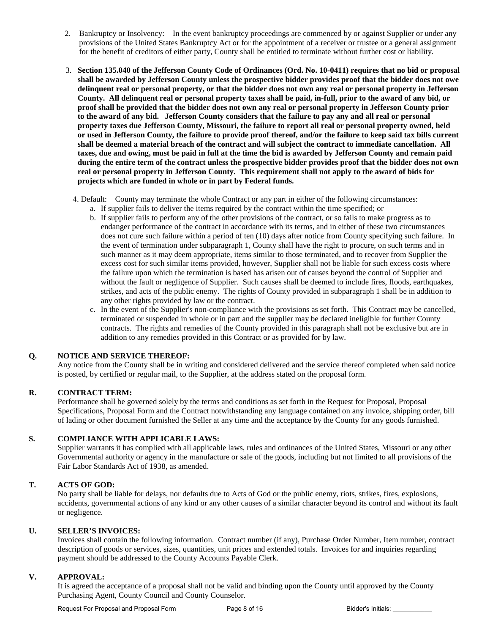- 2. Bankruptcy or Insolvency: In the event bankruptcy proceedings are commenced by or against Supplier or under any provisions of the United States Bankruptcy Act or for the appointment of a receiver or trustee or a general assignment for the benefit of creditors of either party, County shall be entitled to terminate without further cost or liability.
- 3. **Section 135.040 of the Jefferson County Code of Ordinances (Ord. No. 10-0411) requires that no bid or proposal shall be awarded by Jefferson County unless the prospective bidder provides proof that the bidder does not owe delinquent real or personal property, or that the bidder does not own any real or personal property in Jefferson County. All delinquent real or personal property taxes shall be paid, in-full, prior to the award of any bid, or proof shall be provided that the bidder does not own any real or personal property in Jefferson County prior to the award of any bid. Jefferson County considers that the failure to pay any and all real or personal property taxes due Jefferson County, Missouri, the failure to report all real or personal property owned, held or used in Jefferson County, the failure to provide proof thereof, and/or the failure to keep said tax bills current shall be deemed a material breach of the contract and will subject the contract to immediate cancellation. All taxes, due and owing, must be paid in full at the time the bid is awarded by Jefferson County and remain paid during the entire term of the contract unless the prospective bidder provides proof that the bidder does not own real or personal property in Jefferson County. This requirement shall not apply to the award of bids for projects which are funded in whole or in part by Federal funds.**
	- 4. Default: County may terminate the whole Contract or any part in either of the following circumstances: a. If supplier fails to deliver the items required by the contract within the time specified; or
		- b. If supplier fails to perform any of the other provisions of the contract, or so fails to make progress as to endanger performance of the contract in accordance with its terms, and in either of these two circumstances does not cure such failure within a period of ten (10) days after notice from County specifying such failure. In the event of termination under subparagraph 1, County shall have the right to procure, on such terms and in such manner as it may deem appropriate, items similar to those terminated, and to recover from Supplier the excess cost for such similar items provided, however, Supplier shall not be liable for such excess costs where the failure upon which the termination is based has arisen out of causes beyond the control of Supplier and without the fault or negligence of Supplier. Such causes shall be deemed to include fires, floods, earthquakes, strikes, and acts of the public enemy. The rights of County provided in subparagraph 1 shall be in addition to any other rights provided by law or the contract.
		- c. In the event of the Supplier's non-compliance with the provisions as set forth. This Contract may be cancelled, terminated or suspended in whole or in part and the supplier may be declared ineligible for further County contracts. The rights and remedies of the County provided in this paragraph shall not be exclusive but are in addition to any remedies provided in this Contract or as provided for by law.

#### **Q. NOTICE AND SERVICE THEREOF:**

Any notice from the County shall be in writing and considered delivered and the service thereof completed when said notice is posted, by certified or regular mail, to the Supplier, at the address stated on the proposal form.

#### **R. CONTRACT TERM:**

Performance shall be governed solely by the terms and conditions as set forth in the Request for Proposal, Proposal Specifications, Proposal Form and the Contract notwithstanding any language contained on any invoice, shipping order, bill of lading or other document furnished the Seller at any time and the acceptance by the County for any goods furnished.

#### **S. COMPLIANCE WITH APPLICABLE LAWS:**

Supplier warrants it has complied with all applicable laws, rules and ordinances of the United States, Missouri or any other Governmental authority or agency in the manufacture or sale of the goods, including but not limited to all provisions of the Fair Labor Standards Act of 1938, as amended.

### **T. ACTS OF GOD:**

No party shall be liable for delays, nor defaults due to Acts of God or the public enemy, riots, strikes, fires, explosions, accidents, governmental actions of any kind or any other causes of a similar character beyond its control and without its fault or negligence.

#### **U. SELLER'S INVOICES:**

Invoices shall contain the following information. Contract number (if any), Purchase Order Number, Item number, contract description of goods or services, sizes, quantities, unit prices and extended totals. Invoices for and inquiries regarding payment should be addressed to the County Accounts Payable Clerk.

#### **V. APPROVAL:**

It is agreed the acceptance of a proposal shall not be valid and binding upon the County until approved by the County Purchasing Agent, County Council and County Counselor.

Request For Proposal and Proposal Form Page 8 of 16 Bidder's Initials: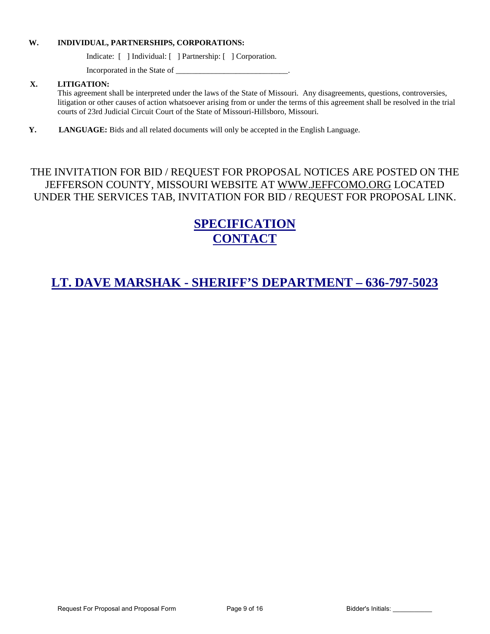#### **W. INDIVIDUAL, PARTNERSHIPS, CORPORATIONS:**

Indicate: [ ] Individual: [ ] Partnership: [ ] Corporation.

Incorporated in the State of \_\_\_\_\_\_\_\_\_\_\_\_\_\_\_\_\_\_\_\_\_\_\_\_\_\_\_\_.

### **X. LITIGATION:**

This agreement shall be interpreted under the laws of the State of Missouri. Any disagreements, questions, controversies, litigation or other causes of action whatsoever arising from or under the terms of this agreement shall be resolved in the trial courts of 23rd Judicial Circuit Court of the State of Missouri-Hillsboro, Missouri.

**Y. LANGUAGE:** Bids and all related documents will only be accepted in the English Language.

# THE INVITATION FOR BID / REQUEST FOR PROPOSAL NOTICES ARE POSTED ON THE JEFFERSON COUNTY, MISSOURI WEBSITE AT [WWW.JEFFCOMO.ORG](http://www.jeffcomo.org/) LOCATED UNDER THE SERVICES TAB, INVITATION FOR BID / REQUEST FOR PROPOSAL LINK.

# **SPECIFICATION CONTACT**

# **LT. DAVE MARSHAK - SHERIFF'S DEPARTMENT – 636-797-5023**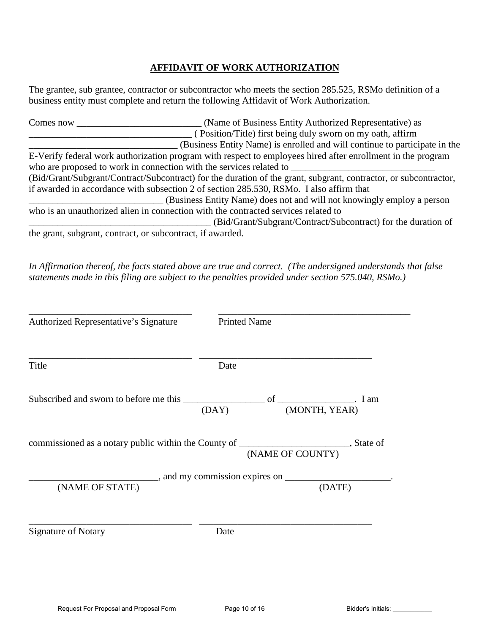# **AFFIDAVIT OF WORK AUTHORIZATION**

The grantee, sub grantee, contractor or subcontractor who meets the section 285.525, RSMo definition of a business entity must complete and return the following Affidavit of Work Authorization.

| Comes now                                                  | (Name of Business Entity Authorized Representative) as                                                           |
|------------------------------------------------------------|------------------------------------------------------------------------------------------------------------------|
|                                                            | (Position/Title) first being duly sworn on my oath, affirm                                                       |
|                                                            | (Business Entity Name) is enrolled and will continue to participate in the                                       |
|                                                            | E-Verify federal work authorization program with respect to employees hired after enrollment in the program      |
|                                                            | who are proposed to work in connection with the services related to                                              |
|                                                            | (Bid/Grant/Subgrant/Contract/Subcontract) for the duration of the grant, subgrant, contractor, or subcontractor, |
|                                                            | if awarded in accordance with subsection 2 of section 285.530, RSMo. I also affirm that                          |
|                                                            | (Business Entity Name) does not and will not knowingly employ a person                                           |
|                                                            | who is an unauthorized alien in connection with the contracted services related to                               |
|                                                            | (Bid/Grant/Subgrant/Contract/Subcontract) for the duration of                                                    |
| the grant, subgrant, contract, or subcontract, if awarded. |                                                                                                                  |

*In Affirmation thereof, the facts stated above are true and correct. (The undersigned understands that false statements made in this filing are subject to the penalties provided under section 575.040, RSMo.)* 

| Authorized Representative's Signature                                                                                      | <b>Printed Name</b> |        |
|----------------------------------------------------------------------------------------------------------------------------|---------------------|--------|
| Title                                                                                                                      | Date                |        |
| Subscribed and sworn to before me this $\frac{\overline{\text{OAY}}}{}$ of $\frac{\overline{\text{MONTH, YEAR}}}{}$ . I am |                     |        |
|                                                                                                                            |                     |        |
|                                                                                                                            |                     |        |
| (NAME OF STATE)                                                                                                            |                     | (DATE) |
| <b>Signature of Notary</b>                                                                                                 | Date                |        |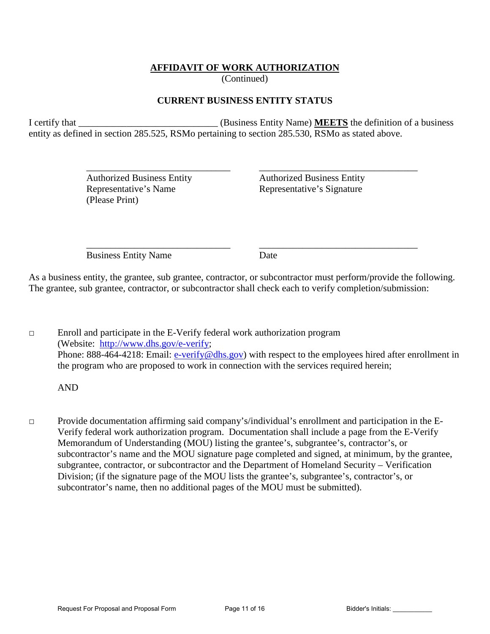# **AFFIDAVIT OF WORK AUTHORIZATION**

(Continued)

# **CURRENT BUSINESS ENTITY STATUS**

I certify that \_\_\_\_\_\_\_\_\_\_\_\_\_\_\_\_\_\_\_\_\_\_\_\_\_\_\_\_\_ (Business Entity Name) **MEETS** the definition of a business entity as defined in section 285.525, RSMo pertaining to section 285.530, RSMo as stated above.

 $\overline{\phantom{a}}$  ,  $\overline{\phantom{a}}$  ,  $\overline{\phantom{a}}$  ,  $\overline{\phantom{a}}$  ,  $\overline{\phantom{a}}$  ,  $\overline{\phantom{a}}$  ,  $\overline{\phantom{a}}$  ,  $\overline{\phantom{a}}$  ,  $\overline{\phantom{a}}$  ,  $\overline{\phantom{a}}$  ,  $\overline{\phantom{a}}$  ,  $\overline{\phantom{a}}$  ,  $\overline{\phantom{a}}$  ,  $\overline{\phantom{a}}$  ,  $\overline{\phantom{a}}$  ,  $\overline{\phantom{a}}$ 

(Please Print)

 Authorized Business Entity Authorized Business Entity Representative's Name<br>
Representative's Signature

 $\overline{\phantom{a}}$  ,  $\overline{\phantom{a}}$  ,  $\overline{\phantom{a}}$  ,  $\overline{\phantom{a}}$  ,  $\overline{\phantom{a}}$  ,  $\overline{\phantom{a}}$  ,  $\overline{\phantom{a}}$  ,  $\overline{\phantom{a}}$  ,  $\overline{\phantom{a}}$  ,  $\overline{\phantom{a}}$  ,  $\overline{\phantom{a}}$  ,  $\overline{\phantom{a}}$  ,  $\overline{\phantom{a}}$  ,  $\overline{\phantom{a}}$  ,  $\overline{\phantom{a}}$  ,  $\overline{\phantom{a}}$ Business Entity Name Date

As a business entity, the grantee, sub grantee, contractor, or subcontractor must perform/provide the following. The grantee, sub grantee, contractor, or subcontractor shall check each to verify completion/submission:

□ Enroll and participate in the E-Verify federal work authorization program (Website: [http://www.dhs.gov/e-verify;](http://www.dhs.gov/e-verify) Phone: 888-464-4218: Email: [e-verify@dhs.gov\)](mailto:e-verify@dhs.gov) with respect to the employees hired after enrollment in the program who are proposed to work in connection with the services required herein;

AND

□ Provide documentation affirming said company's/individual's enrollment and participation in the E-Verify federal work authorization program. Documentation shall include a page from the E-Verify Memorandum of Understanding (MOU) listing the grantee's, subgrantee's, contractor's, or subcontractor's name and the MOU signature page completed and signed, at minimum, by the grantee, subgrantee, contractor, or subcontractor and the Department of Homeland Security – Verification Division; (if the signature page of the MOU lists the grantee's, subgrantee's, contractor's, or subcontrator's name, then no additional pages of the MOU must be submitted).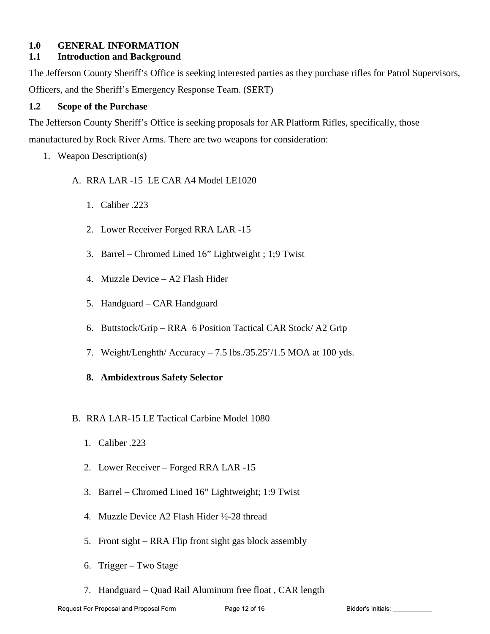### **1.0 GENERAL INFORMATION**

# **1.1 Introduction and Background**

The Jefferson County Sheriff's Office is seeking interested parties as they purchase rifles for Patrol Supervisors, Officers, and the Sheriff's Emergency Response Team. (SERT)

## **1.2 Scope of the Purchase**

The Jefferson County Sheriff's Office is seeking proposals for AR Platform Rifles, specifically, those manufactured by Rock River Arms. There are two weapons for consideration:

1. Weapon Description(s)

## A. RRA LAR -15 LE CAR A4 Model LE1020

- 1. Caliber .223
- 2. Lower Receiver Forged RRA LAR -15
- 3. Barrel Chromed Lined 16" Lightweight ; 1;9 Twist
- 4. Muzzle Device A2 Flash Hider
- 5. Handguard CAR Handguard
- 6. Buttstock/Grip RRA 6 Position Tactical CAR Stock/ A2 Grip
- 7. Weight/Lenghth/ Accuracy 7.5 lbs./35.25'/1.5 MOA at 100 yds.
- **8. Ambidextrous Safety Selector**

## B. RRA LAR-15 LE Tactical Carbine Model 1080

- 1. Caliber .223
- 2. Lower Receiver Forged RRA LAR -15
- 3. Barrel Chromed Lined 16" Lightweight; 1:9 Twist
- 4. Muzzle Device A2 Flash Hider ½-28 thread
- 5. Front sight RRA Flip front sight gas block assembly
- 6. Trigger Two Stage
- 7. Handguard Quad Rail Aluminum free float , CAR length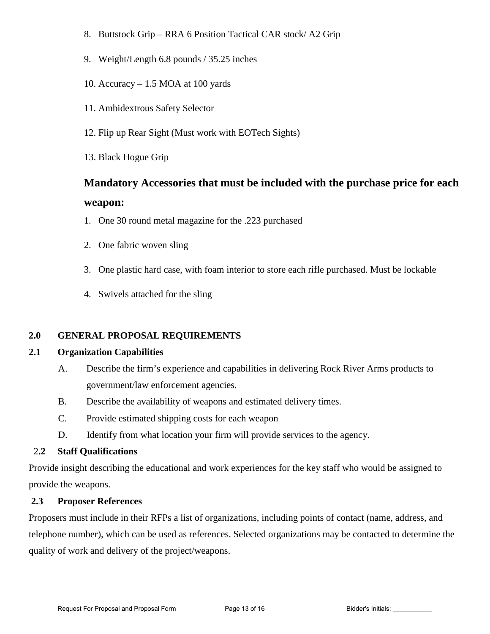- 8. Buttstock Grip RRA 6 Position Tactical CAR stock/ A2 Grip
- 9. Weight/Length 6.8 pounds / 35.25 inches
- 10. Accuracy 1.5 MOA at 100 yards
- 11. Ambidextrous Safety Selector
- 12. Flip up Rear Sight (Must work with EOTech Sights)
- 13. Black Hogue Grip

# **Mandatory Accessories that must be included with the purchase price for each weapon:**

- 1. One 30 round metal magazine for the .223 purchased
- 2. One fabric woven sling
- 3. One plastic hard case, with foam interior to store each rifle purchased. Must be lockable
- 4. Swivels attached for the sling

# **2.0 GENERAL PROPOSAL REQUIREMENTS**

# **2.1 Organization Capabilities**

- A. Describe the firm's experience and capabilities in delivering Rock River Arms products to government/law enforcement agencies.
- B. Describe the availability of weapons and estimated delivery times.
- C. Provide estimated shipping costs for each weapon
- D. Identify from what location your firm will provide services to the agency.

## 2**.2 Staff Qualifications**

Provide insight describing the educational and work experiences for the key staff who would be assigned to provide the weapons.

# **2.3 Proposer References**

Proposers must include in their RFPs a list of organizations, including points of contact (name, address, and telephone number), which can be used as references. Selected organizations may be contacted to determine the quality of work and delivery of the project/weapons.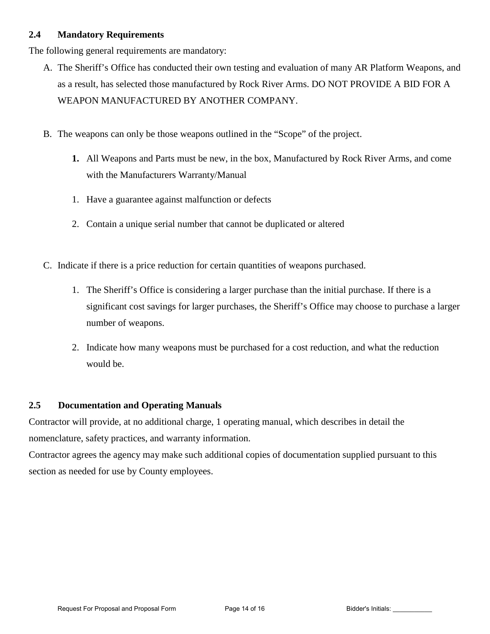## **2.4 Mandatory Requirements**

The following general requirements are mandatory:

- A. The Sheriff's Office has conducted their own testing and evaluation of many AR Platform Weapons, and as a result, has selected those manufactured by Rock River Arms. DO NOT PROVIDE A BID FOR A WEAPON MANUFACTURED BY ANOTHER COMPANY.
- B. The weapons can only be those weapons outlined in the "Scope" of the project.
	- **1.** All Weapons and Parts must be new, in the box, Manufactured by Rock River Arms, and come with the Manufacturers Warranty/Manual
	- 1. Have a guarantee against malfunction or defects
	- 2. Contain a unique serial number that cannot be duplicated or altered
- C. Indicate if there is a price reduction for certain quantities of weapons purchased.
	- 1. The Sheriff's Office is considering a larger purchase than the initial purchase. If there is a significant cost savings for larger purchases, the Sheriff's Office may choose to purchase a larger number of weapons.
	- 2. Indicate how many weapons must be purchased for a cost reduction, and what the reduction would be.

### **2.5 Documentation and Operating Manuals**

Contractor will provide, at no additional charge, 1 operating manual, which describes in detail the nomenclature, safety practices, and warranty information.

Contractor agrees the agency may make such additional copies of documentation supplied pursuant to this section as needed for use by County employees.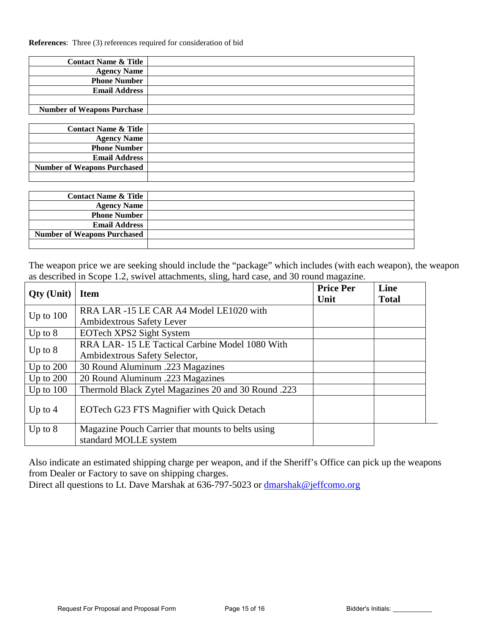**References**: Three (3) references required for consideration of bid

| <b>Contact Name &amp; Title</b>   |  |
|-----------------------------------|--|
| <b>Agency Name</b>                |  |
| <b>Phone Number</b>               |  |
| <b>Email Address</b>              |  |
|                                   |  |
| <b>Number of Weapons Purchase</b> |  |

| <b>Contact Name &amp; Title</b>    |  |
|------------------------------------|--|
| <b>Agency Name</b>                 |  |
| <b>Phone Number</b>                |  |
| <b>Email Address</b>               |  |
| <b>Number of Weapons Purchased</b> |  |
|                                    |  |

| <b>Contact Name &amp; Title</b>    |  |
|------------------------------------|--|
| <b>Agency Name</b>                 |  |
| <b>Phone Number</b>                |  |
| <b>Email Address</b>               |  |
| <b>Number of Weapons Purchased</b> |  |
|                                    |  |

The weapon price we are seeking should include the "package" which includes (with each weapon), the weapon as described in Scope 1.2, swivel attachments, sling, hard case, and 30 round magazine.

| <b>Qty</b> (Unit) | <b>Item</b>                                         | <b>Price Per</b><br>Unit | Line<br><b>Total</b> |
|-------------------|-----------------------------------------------------|--------------------------|----------------------|
| Up to $100$       | RRA LAR -15 LE CAR A4 Model LE1020 with             |                          |                      |
|                   | Ambidextrous Safety Lever                           |                          |                      |
| Up to $8$         | EOTech XPS2 Sight System                            |                          |                      |
|                   | RRA LAR-15 LE Tactical Carbine Model 1080 With      |                          |                      |
| Up to $8$         | Ambidextrous Safety Selector,                       |                          |                      |
| Up to $200$       | 30 Round Aluminum .223 Magazines                    |                          |                      |
| Up to $200$       | 20 Round Aluminum .223 Magazines                    |                          |                      |
| Up to $100$       | Thermold Black Zytel Magazines 20 and 30 Round .223 |                          |                      |
| Up to $4$         | EOTech G23 FTS Magnifier with Quick Detach          |                          |                      |
| Up to $8$         | Magazine Pouch Carrier that mounts to belts using   |                          |                      |
|                   | standard MOLLE system                               |                          |                      |

Also indicate an estimated shipping charge per weapon, and if the Sheriff's Office can pick up the weapons from Dealer or Factory to save on shipping charges.

Direct all questions to Lt. Dave Marshak at 636-797-5023 or dmarshak@jeffcomo.org